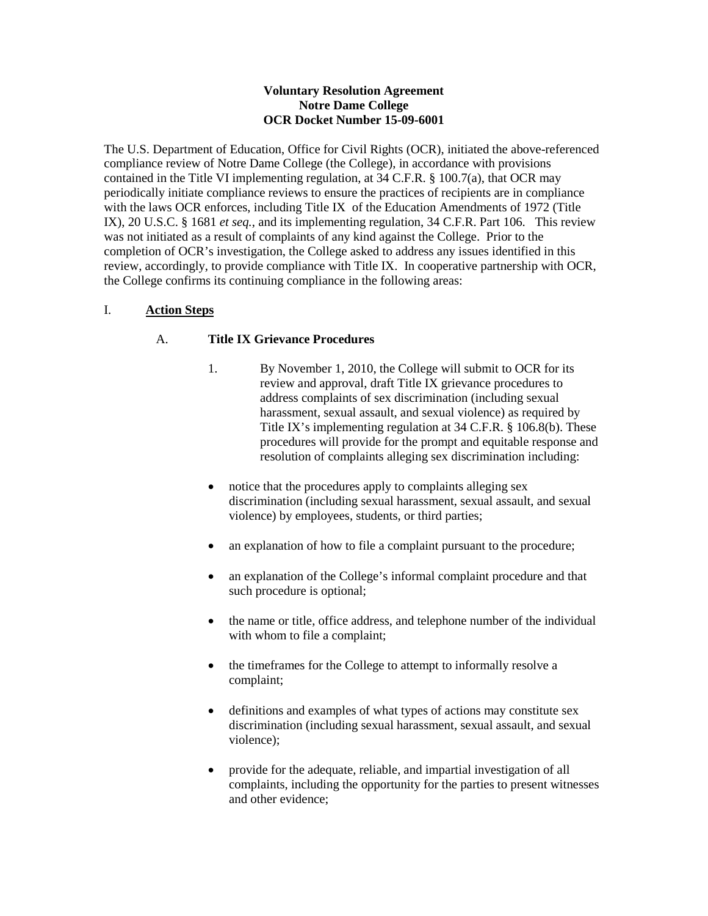#### **Voluntary Resolution Agreement Notre Dame College OCR Docket Number 15-09-6001**

The U.S. Department of Education, Office for Civil Rights (OCR), initiated the above-referenced compliance review of Notre Dame College (the College), in accordance with provisions contained in the Title VI implementing regulation, at 34 C.F.R. § 100.7(a), that OCR may periodically initiate compliance reviews to ensure the practices of recipients are in compliance with the laws OCR enforces, including Title IX of the Education Amendments of 1972 (Title IX), 20 U.S.C. § 1681 *et seq.*, and its implementing regulation, 34 C.F.R. Part 106. This review was not initiated as a result of complaints of any kind against the College. Prior to the completion of OCR's investigation, the College asked to address any issues identified in this review, accordingly, to provide compliance with Title IX. In cooperative partnership with OCR, the College confirms its continuing compliance in the following areas:

## I. **Action Steps**

### A. **Title IX Grievance Procedures**

- 1. By November 1, 2010, the College will submit to OCR for its review and approval, draft Title IX grievance procedures to address complaints of sex discrimination (including sexual harassment, sexual assault, and sexual violence) as required by Title IX's implementing regulation at 34 C.F.R. § 106.8(b). These procedures will provide for the prompt and equitable response and resolution of complaints alleging sex discrimination including:
- notice that the procedures apply to complaints alleging sex discrimination (including sexual harassment, sexual assault, and sexual violence) by employees, students, or third parties;
- an explanation of how to file a complaint pursuant to the procedure;
- an explanation of the College's informal complaint procedure and that such procedure is optional;
- the name or title, office address, and telephone number of the individual with whom to file a complaint;
- the timeframes for the College to attempt to informally resolve a complaint;
- definitions and examples of what types of actions may constitute sex discrimination (including sexual harassment, sexual assault, and sexual violence);
- provide for the adequate, reliable, and impartial investigation of all complaints, including the opportunity for the parties to present witnesses and other evidence;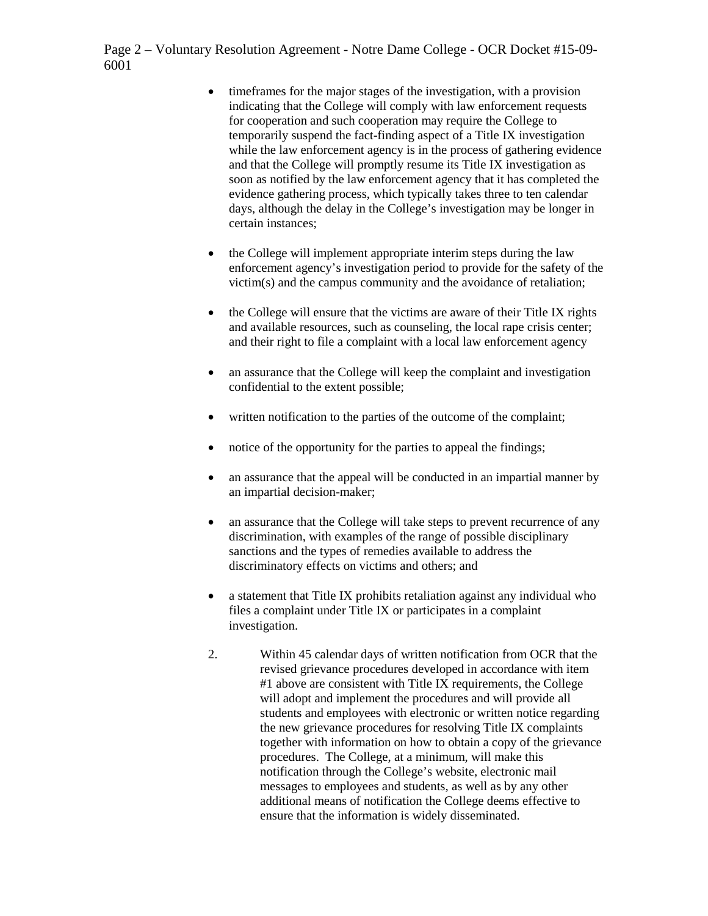Page 2 – Voluntary Resolution Agreement - Notre Dame College - OCR Docket #15-09- 6001

- timeframes for the major stages of the investigation, with a provision indicating that the College will comply with law enforcement requests for cooperation and such cooperation may require the College to temporarily suspend the fact-finding aspect of a Title IX investigation while the law enforcement agency is in the process of gathering evidence and that the College will promptly resume its Title IX investigation as soon as notified by the law enforcement agency that it has completed the evidence gathering process, which typically takes three to ten calendar days, although the delay in the College's investigation may be longer in certain instances;
- the College will implement appropriate interim steps during the law enforcement agency's investigation period to provide for the safety of the victim(s) and the campus community and the avoidance of retaliation;
- the College will ensure that the victims are aware of their Title IX rights and available resources, such as counseling, the local rape crisis center; and their right to file a complaint with a local law enforcement agency
- an assurance that the College will keep the complaint and investigation confidential to the extent possible;
- written notification to the parties of the outcome of the complaint;
- notice of the opportunity for the parties to appeal the findings;
- an assurance that the appeal will be conducted in an impartial manner by an impartial decision-maker;
- an assurance that the College will take steps to prevent recurrence of any discrimination, with examples of the range of possible disciplinary sanctions and the types of remedies available to address the discriminatory effects on victims and others; and
- a statement that Title IX prohibits retaliation against any individual who files a complaint under Title IX or participates in a complaint investigation.
- 2. Within 45 calendar days of written notification from OCR that the revised grievance procedures developed in accordance with item #1 above are consistent with Title IX requirements, the College will adopt and implement the procedures and will provide all students and employees with electronic or written notice regarding the new grievance procedures for resolving Title IX complaints together with information on how to obtain a copy of the grievance procedures. The College, at a minimum, will make this notification through the College's website, electronic mail messages to employees and students, as well as by any other additional means of notification the College deems effective to ensure that the information is widely disseminated.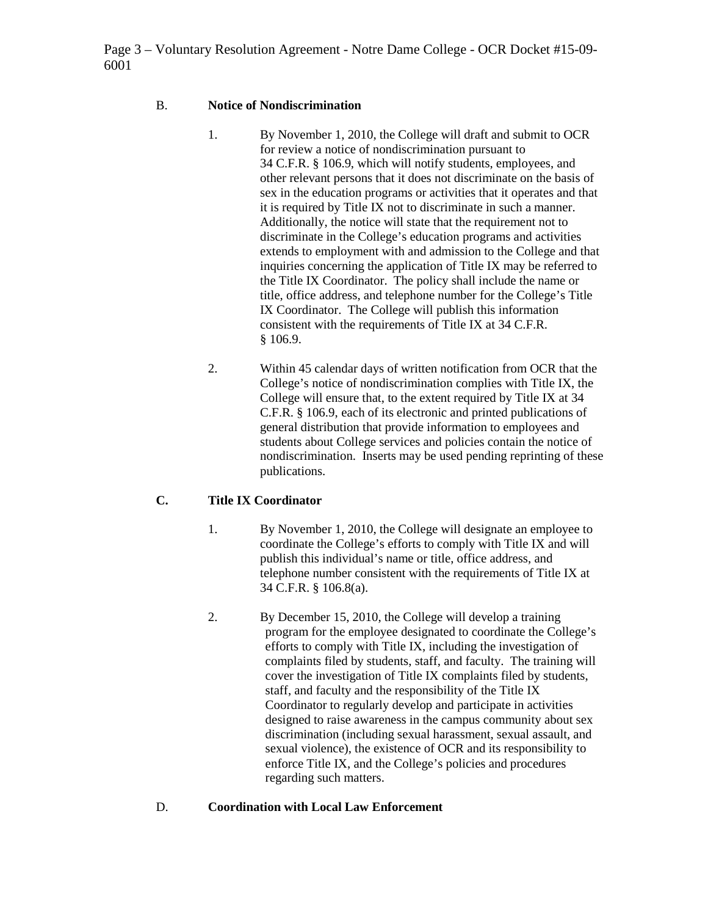Page 3 – Voluntary Resolution Agreement - Notre Dame College - OCR Docket #15-09- 6001

### B. **Notice of Nondiscrimination**

- 1. By November 1, 2010, the College will draft and submit to OCR for review a notice of nondiscrimination pursuant to 34 C.F.R. § 106.9, which will notify students, employees, and other relevant persons that it does not discriminate on the basis of sex in the education programs or activities that it operates and that it is required by Title IX not to discriminate in such a manner. Additionally, the notice will state that the requirement not to discriminate in the College's education programs and activities extends to employment with and admission to the College and that inquiries concerning the application of Title IX may be referred to the Title IX Coordinator. The policy shall include the name or title, office address, and telephone number for the College's Title IX Coordinator. The College will publish this information consistent with the requirements of Title IX at 34 C.F.R. § 106.9.
- 2. Within 45 calendar days of written notification from OCR that the College's notice of nondiscrimination complies with Title IX, the College will ensure that, to the extent required by Title IX at 34 C.F.R. § 106.9, each of its electronic and printed publications of general distribution that provide information to employees and students about College services and policies contain the notice of nondiscrimination. Inserts may be used pending reprinting of these publications.

## **C. Title IX Coordinator**

- 1. By November 1, 2010, the College will designate an employee to coordinate the College's efforts to comply with Title IX and will publish this individual's name or title, office address, and telephone number consistent with the requirements of Title IX at 34 C.F.R. § 106.8(a).
- 2. By December 15, 2010, the College will develop a training program for the employee designated to coordinate the College's efforts to comply with Title IX, including the investigation of complaints filed by students, staff, and faculty. The training will cover the investigation of Title IX complaints filed by students, staff, and faculty and the responsibility of the Title IX Coordinator to regularly develop and participate in activities designed to raise awareness in the campus community about sex discrimination (including sexual harassment, sexual assault, and sexual violence), the existence of OCR and its responsibility to enforce Title IX, and the College's policies and procedures regarding such matters.

## D. **Coordination with Local Law Enforcement**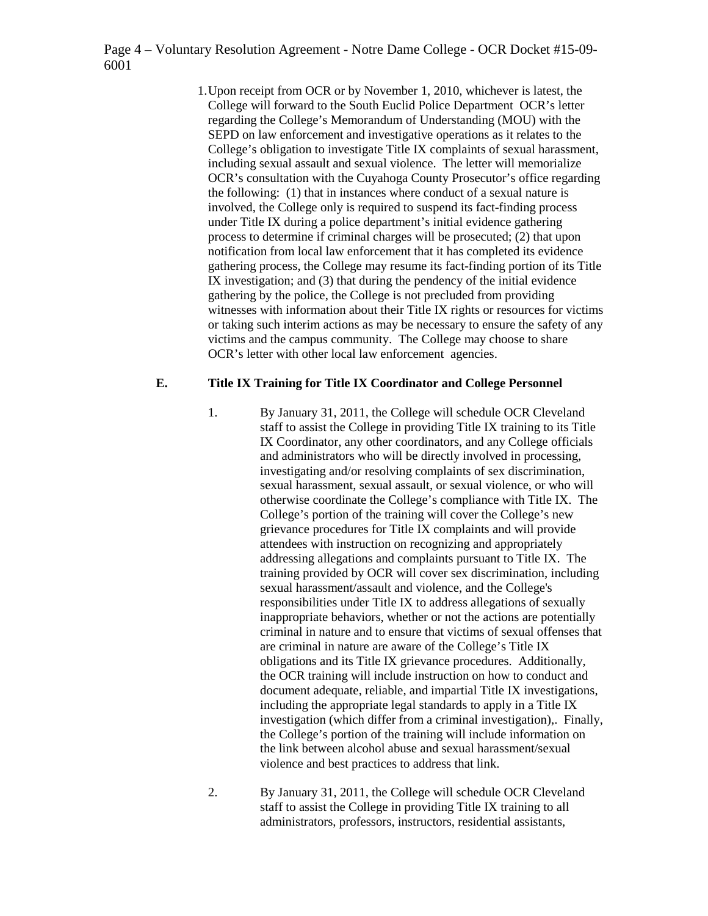Page 4 – Voluntary Resolution Agreement - Notre Dame College - OCR Docket #15-09- 6001

> 1.Upon receipt from OCR or by November 1, 2010, whichever is latest, the College will forward to the South Euclid Police Department OCR's letter regarding the College's Memorandum of Understanding (MOU) with the SEPD on law enforcement and investigative operations as it relates to the College's obligation to investigate Title IX complaints of sexual harassment, including sexual assault and sexual violence. The letter will memorialize OCR's consultation with the Cuyahoga County Prosecutor's office regarding the following: (1) that in instances where conduct of a sexual nature is involved, the College only is required to suspend its fact-finding process under Title IX during a police department's initial evidence gathering process to determine if criminal charges will be prosecuted; (2) that upon notification from local law enforcement that it has completed its evidence gathering process, the College may resume its fact-finding portion of its Title IX investigation; and (3) that during the pendency of the initial evidence gathering by the police, the College is not precluded from providing witnesses with information about their Title IX rights or resources for victims or taking such interim actions as may be necessary to ensure the safety of any victims and the campus community. The College may choose to share OCR's letter with other local law enforcement agencies.

#### **E. Title IX Training for Title IX Coordinator and College Personnel**

- 1. By January 31, 2011, the College will schedule OCR Cleveland staff to assist the College in providing Title IX training to its Title IX Coordinator, any other coordinators, and any College officials and administrators who will be directly involved in processing, investigating and/or resolving complaints of sex discrimination, sexual harassment, sexual assault, or sexual violence, or who will otherwise coordinate the College's compliance with Title IX. The College's portion of the training will cover the College's new grievance procedures for Title IX complaints and will provide attendees with instruction on recognizing and appropriately addressing allegations and complaints pursuant to Title IX. The training provided by OCR will cover sex discrimination, including sexual harassment/assault and violence, and the College's responsibilities under Title IX to address allegations of sexually inappropriate behaviors, whether or not the actions are potentially criminal in nature and to ensure that victims of sexual offenses that are criminal in nature are aware of the College's Title IX obligations and its Title IX grievance procedures. Additionally, the OCR training will include instruction on how to conduct and document adequate, reliable, and impartial Title IX investigations, including the appropriate legal standards to apply in a Title IX investigation (which differ from a criminal investigation),. Finally, the College's portion of the training will include information on the link between alcohol abuse and sexual harassment/sexual violence and best practices to address that link.
- 2. By January 31, 2011, the College will schedule OCR Cleveland staff to assist the College in providing Title IX training to all administrators, professors, instructors, residential assistants,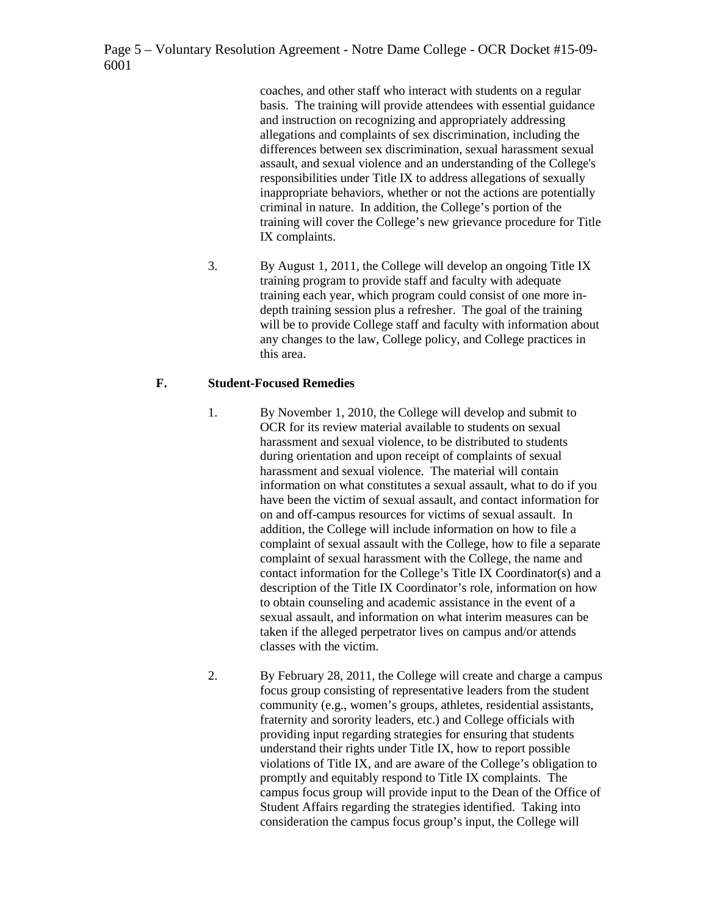Page 5 – Voluntary Resolution Agreement - Notre Dame College - OCR Docket #15-09- 6001

> coaches, and other staff who interact with students on a regular basis. The training will provide attendees with essential guidance and instruction on recognizing and appropriately addressing allegations and complaints of sex discrimination, including the differences between sex discrimination, sexual harassment sexual assault, and sexual violence and an understanding of the College's responsibilities under Title IX to address allegations of sexually inappropriate behaviors, whether or not the actions are potentially criminal in nature. In addition, the College's portion of the training will cover the College's new grievance procedure for Title IX complaints.

3. By August 1, 2011, the College will develop an ongoing Title IX training program to provide staff and faculty with adequate training each year, which program could consist of one more indepth training session plus a refresher. The goal of the training will be to provide College staff and faculty with information about any changes to the law, College policy, and College practices in this area.

#### **F. Student-Focused Remedies**

- 1. By November 1, 2010, the College will develop and submit to OCR for its review material available to students on sexual harassment and sexual violence, to be distributed to students during orientation and upon receipt of complaints of sexual harassment and sexual violence. The material will contain information on what constitutes a sexual assault, what to do if you have been the victim of sexual assault, and contact information for on and off-campus resources for victims of sexual assault. In addition, the College will include information on how to file a complaint of sexual assault with the College, how to file a separate complaint of sexual harassment with the College, the name and contact information for the College's Title IX Coordinator(s) and a description of the Title IX Coordinator's role, information on how to obtain counseling and academic assistance in the event of a sexual assault, and information on what interim measures can be taken if the alleged perpetrator lives on campus and/or attends classes with the victim.
- 2. By February 28, 2011, the College will create and charge a campus focus group consisting of representative leaders from the student community (e.g., women's groups, athletes, residential assistants, fraternity and sorority leaders, etc.) and College officials with providing input regarding strategies for ensuring that students understand their rights under Title IX, how to report possible violations of Title IX, and are aware of the College's obligation to promptly and equitably respond to Title IX complaints. The campus focus group will provide input to the Dean of the Office of Student Affairs regarding the strategies identified. Taking into consideration the campus focus group's input, the College will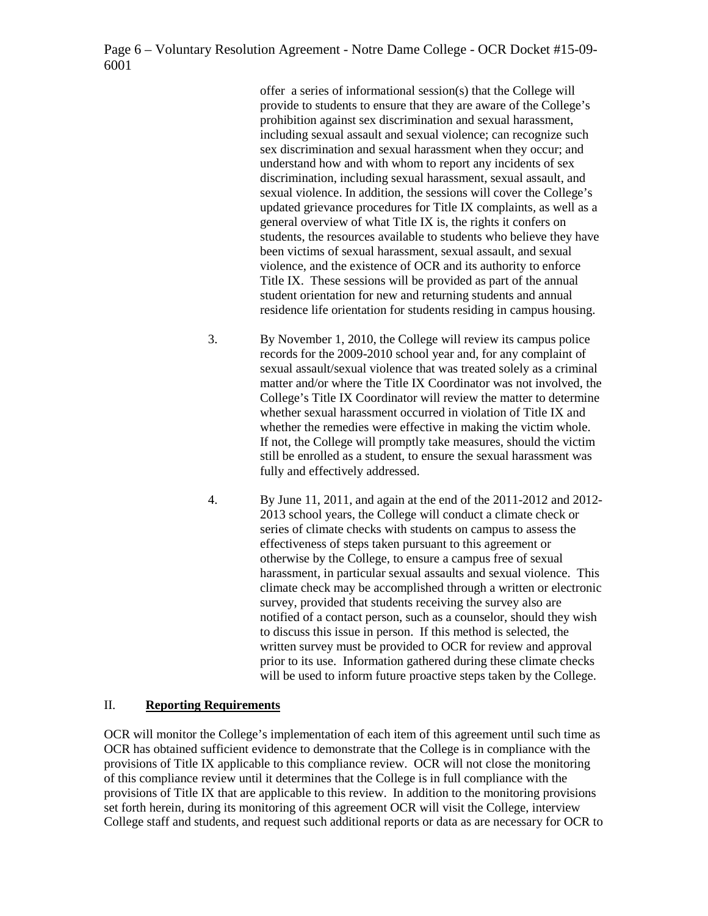Page 6 – Voluntary Resolution Agreement - Notre Dame College - OCR Docket #15-09- 6001

> offer a series of informational session(s) that the College will provide to students to ensure that they are aware of the College's prohibition against sex discrimination and sexual harassment, including sexual assault and sexual violence; can recognize such sex discrimination and sexual harassment when they occur; and understand how and with whom to report any incidents of sex discrimination, including sexual harassment, sexual assault, and sexual violence. In addition, the sessions will cover the College's updated grievance procedures for Title IX complaints, as well as a general overview of what Title IX is, the rights it confers on students, the resources available to students who believe they have been victims of sexual harassment, sexual assault, and sexual violence, and the existence of OCR and its authority to enforce Title IX. These sessions will be provided as part of the annual student orientation for new and returning students and annual residence life orientation for students residing in campus housing.

- 3. By November 1, 2010, the College will review its campus police records for the 2009-2010 school year and, for any complaint of sexual assault/sexual violence that was treated solely as a criminal matter and/or where the Title IX Coordinator was not involved, the College's Title IX Coordinator will review the matter to determine whether sexual harassment occurred in violation of Title IX and whether the remedies were effective in making the victim whole. If not, the College will promptly take measures, should the victim still be enrolled as a student, to ensure the sexual harassment was fully and effectively addressed.
- 4. By June 11, 2011, and again at the end of the 2011-2012 and 2012- 2013 school years, the College will conduct a climate check or series of climate checks with students on campus to assess the effectiveness of steps taken pursuant to this agreement or otherwise by the College, to ensure a campus free of sexual harassment, in particular sexual assaults and sexual violence. This climate check may be accomplished through a written or electronic survey, provided that students receiving the survey also are notified of a contact person, such as a counselor, should they wish to discuss this issue in person. If this method is selected, the written survey must be provided to OCR for review and approval prior to its use. Information gathered during these climate checks will be used to inform future proactive steps taken by the College.

#### II. **Reporting Requirements**

OCR will monitor the College's implementation of each item of this agreement until such time as OCR has obtained sufficient evidence to demonstrate that the College is in compliance with the provisions of Title IX applicable to this compliance review. OCR will not close the monitoring of this compliance review until it determines that the College is in full compliance with the provisions of Title IX that are applicable to this review. In addition to the monitoring provisions set forth herein, during its monitoring of this agreement OCR will visit the College, interview College staff and students, and request such additional reports or data as are necessary for OCR to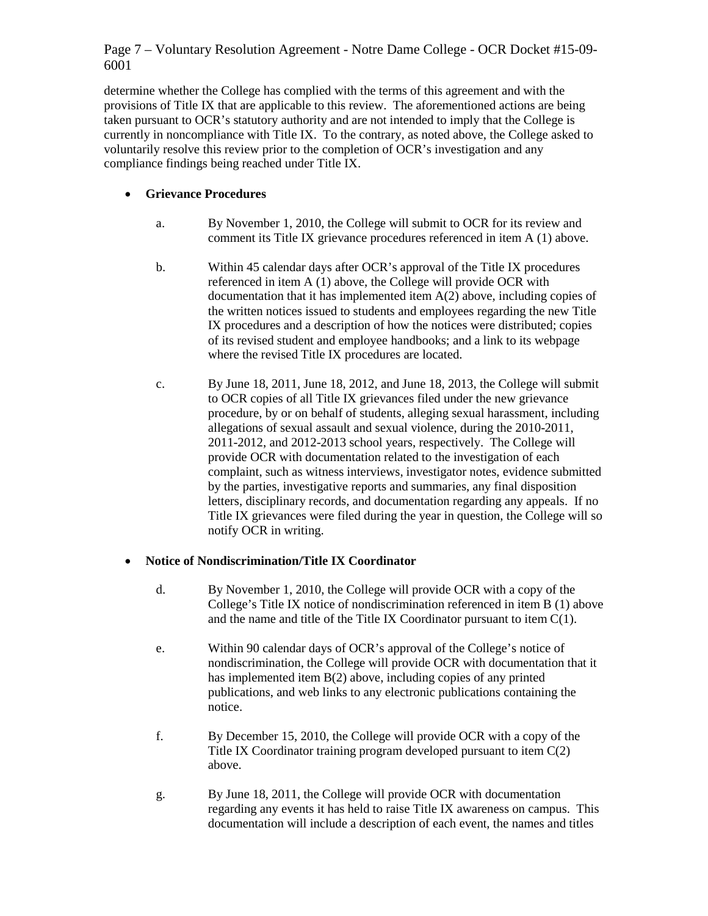# Page 7 – Voluntary Resolution Agreement - Notre Dame College - OCR Docket #15-09- 6001

determine whether the College has complied with the terms of this agreement and with the provisions of Title IX that are applicable to this review. The aforementioned actions are being taken pursuant to OCR's statutory authority and are not intended to imply that the College is currently in noncompliance with Title IX. To the contrary, as noted above, the College asked to voluntarily resolve this review prior to the completion of OCR's investigation and any compliance findings being reached under Title IX.

# • **Grievance Procedures**

- a. By November 1, 2010, the College will submit to OCR for its review and comment its Title IX grievance procedures referenced in item A (1) above.
- b. Within 45 calendar days after OCR's approval of the Title IX procedures referenced in item A (1) above, the College will provide OCR with documentation that it has implemented item A(2) above, including copies of the written notices issued to students and employees regarding the new Title IX procedures and a description of how the notices were distributed; copies of its revised student and employee handbooks; and a link to its webpage where the revised Title IX procedures are located.
- c. By June 18, 2011, June 18, 2012, and June 18, 2013, the College will submit to OCR copies of all Title IX grievances filed under the new grievance procedure, by or on behalf of students, alleging sexual harassment, including allegations of sexual assault and sexual violence, during the 2010-2011, 2011-2012, and 2012-2013 school years, respectively. The College will provide OCR with documentation related to the investigation of each complaint, such as witness interviews, investigator notes, evidence submitted by the parties, investigative reports and summaries, any final disposition letters, disciplinary records, and documentation regarding any appeals. If no Title IX grievances were filed during the year in question, the College will so notify OCR in writing.

## • **Notice of Nondiscrimination/Title IX Coordinator**

- d. By November 1, 2010, the College will provide OCR with a copy of the College's Title IX notice of nondiscrimination referenced in item B (1) above and the name and title of the Title IX Coordinator pursuant to item C(1).
- e. Within 90 calendar days of OCR's approval of the College's notice of nondiscrimination, the College will provide OCR with documentation that it has implemented item B(2) above, including copies of any printed publications, and web links to any electronic publications containing the notice.
- f. By December 15, 2010, the College will provide OCR with a copy of the Title IX Coordinator training program developed pursuant to item C(2) above.
- g. By June 18, 2011, the College will provide OCR with documentation regarding any events it has held to raise Title IX awareness on campus. This documentation will include a description of each event, the names and titles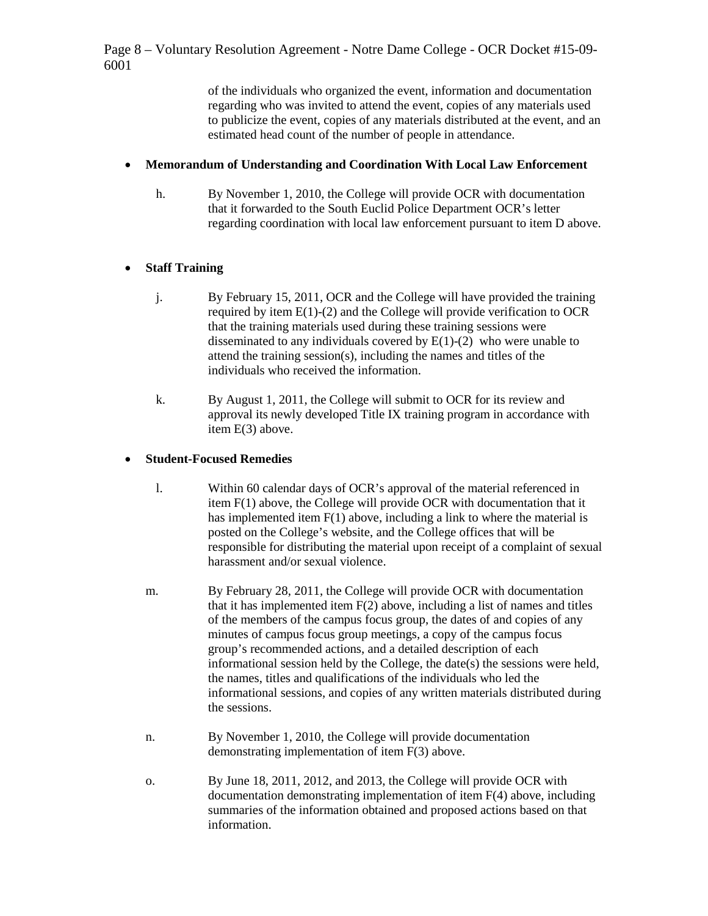Page 8 – Voluntary Resolution Agreement - Notre Dame College - OCR Docket #15-09- 6001

> of the individuals who organized the event, information and documentation regarding who was invited to attend the event, copies of any materials used to publicize the event, copies of any materials distributed at the event, and an estimated head count of the number of people in attendance.

#### • **Memorandum of Understanding and Coordination With Local Law Enforcement**

h. By November 1, 2010, the College will provide OCR with documentation that it forwarded to the South Euclid Police Department OCR's letter regarding coordination with local law enforcement pursuant to item D above.

## • **Staff Training**

- j. By February 15, 2011, OCR and the College will have provided the training required by item  $E(1)-(2)$  and the College will provide verification to OCR that the training materials used during these training sessions were disseminated to any individuals covered by  $E(1)-(2)$  who were unable to attend the training session(s), including the names and titles of the individuals who received the information.
- k. By August 1, 2011, the College will submit to OCR for its review and approval its newly developed Title IX training program in accordance with item E(3) above.

## • **Student-Focused Remedies**

- l. Within 60 calendar days of OCR's approval of the material referenced in item F(1) above, the College will provide OCR with documentation that it has implemented item F(1) above, including a link to where the material is posted on the College's website, and the College offices that will be responsible for distributing the material upon receipt of a complaint of sexual harassment and/or sexual violence.
- m. By February 28, 2011, the College will provide OCR with documentation that it has implemented item F(2) above, including a list of names and titles of the members of the campus focus group, the dates of and copies of any minutes of campus focus group meetings, a copy of the campus focus group's recommended actions, and a detailed description of each informational session held by the College, the date(s) the sessions were held, the names, titles and qualifications of the individuals who led the informational sessions, and copies of any written materials distributed during the sessions.
- n. By November 1, 2010, the College will provide documentation demonstrating implementation of item F(3) above.
- o. By June 18, 2011, 2012, and 2013, the College will provide OCR with documentation demonstrating implementation of item F(4) above, including summaries of the information obtained and proposed actions based on that information.